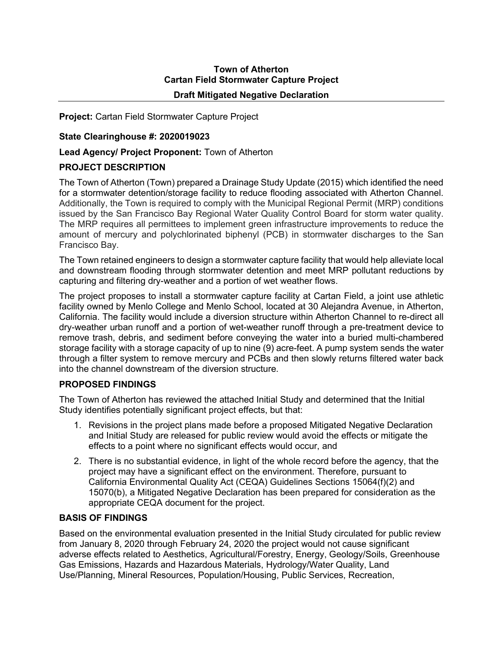# **Town of Atherton Cartan Field Stormwater Capture Project**

#### **Draft Mitigated Negative Declaration**

**Project:** Cartan Field Stormwater Capture Project

#### **State Clearinghouse #: 2020019023**

## **Lead Agency/ Project Proponent:** Town of Atherton

## **PROJECT DESCRIPTION**

The Town of Atherton (Town) prepared a Drainage Study Update (2015) which identified the need for a stormwater detention/storage facility to reduce flooding associated with Atherton Channel. Additionally, the Town is required to comply with the Municipal Regional Permit (MRP) conditions issued by the San Francisco Bay Regional Water Quality Control Board for storm water quality. The MRP requires all permittees to implement green infrastructure improvements to reduce the amount of mercury and polychlorinated biphenyl (PCB) in stormwater discharges to the San Francisco Bay.

The Town retained engineers to design a stormwater capture facility that would help alleviate local and downstream flooding through stormwater detention and meet MRP pollutant reductions by capturing and filtering dry-weather and a portion of wet weather flows.

The project proposes to install a stormwater capture facility at Cartan Field, a joint use athletic facility owned by Menlo College and Menlo School, located at 30 Alejandra Avenue, in Atherton, California. The facility would include a diversion structure within Atherton Channel to re-direct all dry-weather urban runoff and a portion of wet-weather runoff through a pre-treatment device to remove trash, debris, and sediment before conveying the water into a buried multi-chambered storage facility with a storage capacity of up to nine (9) acre-feet. A pump system sends the water through a filter system to remove mercury and PCBs and then slowly returns filtered water back into the channel downstream of the diversion structure.

#### **PROPOSED FINDINGS**

The Town of Atherton has reviewed the attached Initial Study and determined that the Initial Study identifies potentially significant project effects, but that:

- 1. Revisions in the project plans made before a proposed Mitigated Negative Declaration and Initial Study are released for public review would avoid the effects or mitigate the effects to a point where no significant effects would occur, and
- 2. There is no substantial evidence, in light of the whole record before the agency, that the project may have a significant effect on the environment. Therefore, pursuant to California Environmental Quality Act (CEQA) Guidelines Sections 15064(f)(2) and 15070(b), a Mitigated Negative Declaration has been prepared for consideration as the appropriate CEQA document for the project.

#### **BASIS OF FINDINGS**

Based on the environmental evaluation presented in the Initial Study circulated for public review from January 8, 2020 through February 24, 2020 the project would not cause significant adverse effects related to Aesthetics, Agricultural/Forestry, Energy, Geology/Soils, Greenhouse Gas Emissions, Hazards and Hazardous Materials, Hydrology/Water Quality, Land Use/Planning, Mineral Resources, Population/Housing, Public Services, Recreation,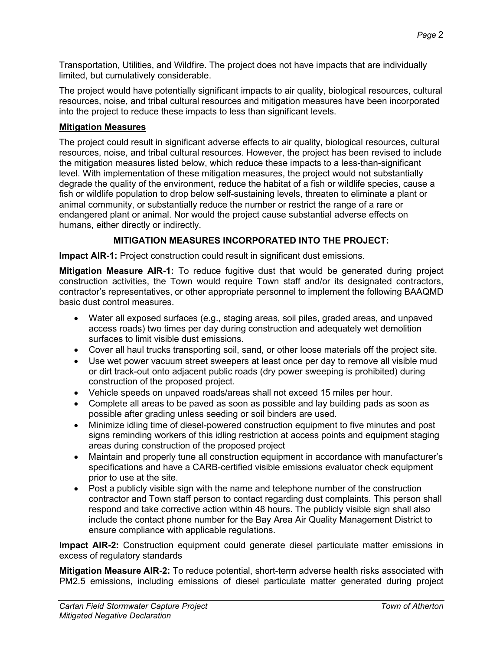Transportation, Utilities, and Wildfire. The project does not have impacts that are individually limited, but cumulatively considerable.

The project would have potentially significant impacts to air quality, biological resources, cultural resources, noise, and tribal cultural resources and mitigation measures have been incorporated into the project to reduce these impacts to less than significant levels.

# **Mitigation Measures**

The project could result in significant adverse effects to air quality, biological resources, cultural resources, noise, and tribal cultural resources. However, the project has been revised to include the mitigation measures listed below, which reduce these impacts to a less-than-significant level. With implementation of these mitigation measures, the project would not substantially degrade the quality of the environment, reduce the habitat of a fish or wildlife species, cause a fish or wildlife population to drop below self-sustaining levels, threaten to eliminate a plant or animal community, or substantially reduce the number or restrict the range of a rare or endangered plant or animal. Nor would the project cause substantial adverse effects on humans, either directly or indirectly.

# **MITIGATION MEASURES INCORPORATED INTO THE PROJECT:**

**Impact AIR-1:** Project construction could result in significant dust emissions.

**Mitigation Measure AIR-1:** To reduce fugitive dust that would be generated during project construction activities, the Town would require Town staff and/or its designated contractors, contractor's representatives, or other appropriate personnel to implement the following BAAQMD basic dust control measures.

- Water all exposed surfaces (e.g., staging areas, soil piles, graded areas, and unpaved access roads) two times per day during construction and adequately wet demolition surfaces to limit visible dust emissions.
- Cover all haul trucks transporting soil, sand, or other loose materials off the project site.
- Use wet power vacuum street sweepers at least once per day to remove all visible mud or dirt track-out onto adjacent public roads (dry power sweeping is prohibited) during construction of the proposed project.
- Vehicle speeds on unpaved roads/areas shall not exceed 15 miles per hour.
- Complete all areas to be paved as soon as possible and lay building pads as soon as possible after grading unless seeding or soil binders are used.
- Minimize idling time of diesel-powered construction equipment to five minutes and post signs reminding workers of this idling restriction at access points and equipment staging areas during construction of the proposed project
- Maintain and properly tune all construction equipment in accordance with manufacturer's specifications and have a CARB-certified visible emissions evaluator check equipment prior to use at the site.
- Post a publicly visible sign with the name and telephone number of the construction contractor and Town staff person to contact regarding dust complaints. This person shall respond and take corrective action within 48 hours. The publicly visible sign shall also include the contact phone number for the Bay Area Air Quality Management District to ensure compliance with applicable regulations.

**Impact AIR-2:** Construction equipment could generate diesel particulate matter emissions in excess of regulatory standards

**Mitigation Measure AIR-2:** To reduce potential, short-term adverse health risks associated with PM2.5 emissions, including emissions of diesel particulate matter generated during project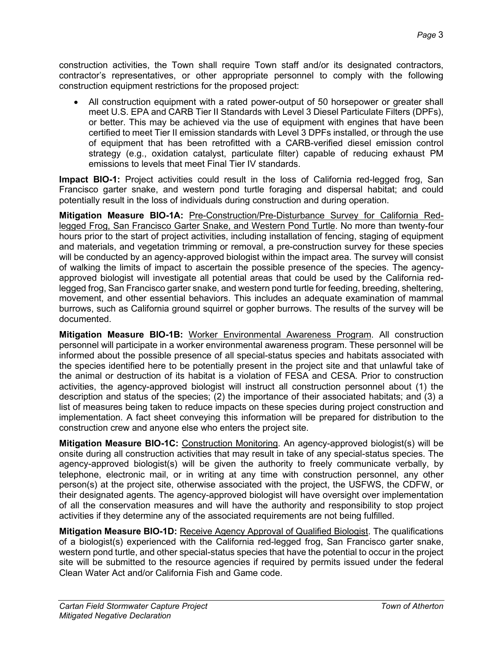construction activities, the Town shall require Town staff and/or its designated contractors, contractor's representatives, or other appropriate personnel to comply with the following construction equipment restrictions for the proposed project:

• All construction equipment with a rated power-output of 50 horsepower or greater shall meet U.S. EPA and CARB Tier II Standards with Level 3 Diesel Particulate Filters (DPFs), or better. This may be achieved via the use of equipment with engines that have been certified to meet Tier II emission standards with Level 3 DPFs installed, or through the use of equipment that has been retrofitted with a CARB-verified diesel emission control strategy (e.g., oxidation catalyst, particulate filter) capable of reducing exhaust PM emissions to levels that meet Final Tier IV standards.

**Impact BIO-1:** Project activities could result in the loss of California red-legged frog, San Francisco garter snake, and western pond turtle foraging and dispersal habitat; and could potentially result in the loss of individuals during construction and during operation.

**Mitigation Measure BIO-1A:** Pre-Construction/Pre-Disturbance Survey for California Redlegged Frog, San Francisco Garter Snake, and Western Pond Turtle. No more than twenty-four hours prior to the start of project activities, including installation of fencing, staging of equipment and materials, and vegetation trimming or removal, a pre-construction survey for these species will be conducted by an agency-approved biologist within the impact area. The survey will consist of walking the limits of impact to ascertain the possible presence of the species. The agencyapproved biologist will investigate all potential areas that could be used by the California redlegged frog, San Francisco garter snake, and western pond turtle for feeding, breeding, sheltering, movement, and other essential behaviors. This includes an adequate examination of mammal burrows, such as California ground squirrel or gopher burrows. The results of the survey will be documented.

**Mitigation Measure BIO-1B:** Worker Environmental Awareness Program. All construction personnel will participate in a worker environmental awareness program. These personnel will be informed about the possible presence of all special-status species and habitats associated with the species identified here to be potentially present in the project site and that unlawful take of the animal or destruction of its habitat is a violation of FESA and CESA. Prior to construction activities, the agency-approved biologist will instruct all construction personnel about (1) the description and status of the species; (2) the importance of their associated habitats; and (3) a list of measures being taken to reduce impacts on these species during project construction and implementation. A fact sheet conveying this information will be prepared for distribution to the construction crew and anyone else who enters the project site.

**Mitigation Measure BIO-1C:** Construction Monitoring. An agency-approved biologist(s) will be onsite during all construction activities that may result in take of any special-status species. The agency-approved biologist(s) will be given the authority to freely communicate verbally, by telephone, electronic mail, or in writing at any time with construction personnel, any other person(s) at the project site, otherwise associated with the project, the USFWS, the CDFW, or their designated agents. The agency-approved biologist will have oversight over implementation of all the conservation measures and will have the authority and responsibility to stop project activities if they determine any of the associated requirements are not being fulfilled.

**Mitigation Measure BIO-1D:** Receive Agency Approval of Qualified Biologist. The qualifications of a biologist(s) experienced with the California red-legged frog, San Francisco garter snake, western pond turtle, and other special-status species that have the potential to occur in the project site will be submitted to the resource agencies if required by permits issued under the federal Clean Water Act and/or California Fish and Game code.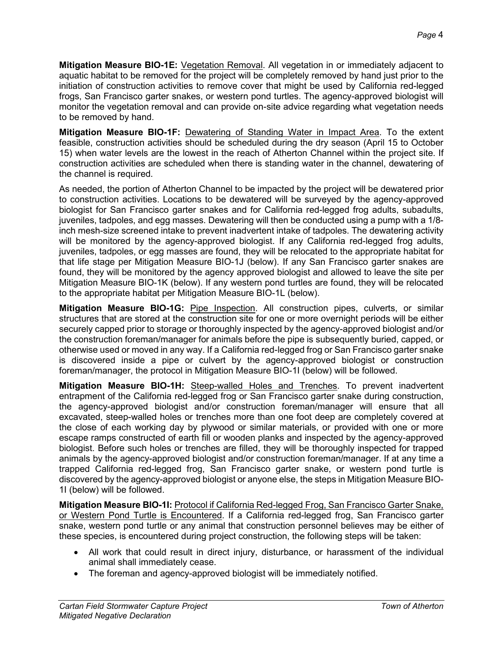**Mitigation Measure BIO-1E:** Vegetation Removal. All vegetation in or immediately adjacent to aquatic habitat to be removed for the project will be completely removed by hand just prior to the initiation of construction activities to remove cover that might be used by California red-legged frogs, San Francisco garter snakes, or western pond turtles. The agency-approved biologist will monitor the vegetation removal and can provide on-site advice regarding what vegetation needs to be removed by hand.

**Mitigation Measure BIO-1F:** Dewatering of Standing Water in Impact Area. To the extent feasible, construction activities should be scheduled during the dry season (April 15 to October 15) when water levels are the lowest in the reach of Atherton Channel within the project site. If construction activities are scheduled when there is standing water in the channel, dewatering of the channel is required.

As needed, the portion of Atherton Channel to be impacted by the project will be dewatered prior to construction activities. Locations to be dewatered will be surveyed by the agency-approved biologist for San Francisco garter snakes and for California red-legged frog adults, subadults, juveniles, tadpoles, and egg masses. Dewatering will then be conducted using a pump with a 1/8 inch mesh-size screened intake to prevent inadvertent intake of tadpoles. The dewatering activity will be monitored by the agency-approved biologist. If any California red-legged frog adults, juveniles, tadpoles, or egg masses are found, they will be relocated to the appropriate habitat for that life stage per Mitigation Measure BIO-1J (below). If any San Francisco garter snakes are found, they will be monitored by the agency approved biologist and allowed to leave the site per Mitigation Measure BIO-1K (below). If any western pond turtles are found, they will be relocated to the appropriate habitat per Mitigation Measure BIO-1L (below).

**Mitigation Measure BIO-1G:** Pipe Inspection. All construction pipes, culverts, or similar structures that are stored at the construction site for one or more overnight periods will be either securely capped prior to storage or thoroughly inspected by the agency-approved biologist and/or the construction foreman/manager for animals before the pipe is subsequently buried, capped, or otherwise used or moved in any way. If a California red-legged frog or San Francisco garter snake is discovered inside a pipe or culvert by the agency-approved biologist or construction foreman/manager, the protocol in Mitigation Measure BIO-1I (below) will be followed.

**Mitigation Measure BIO-1H:** Steep-walled Holes and Trenches. To prevent inadvertent entrapment of the California red-legged frog or San Francisco garter snake during construction, the agency-approved biologist and/or construction foreman/manager will ensure that all excavated, steep-walled holes or trenches more than one foot deep are completely covered at the close of each working day by plywood or similar materials, or provided with one or more escape ramps constructed of earth fill or wooden planks and inspected by the agency-approved biologist. Before such holes or trenches are filled, they will be thoroughly inspected for trapped animals by the agency-approved biologist and/or construction foreman/manager. If at any time a trapped California red-legged frog, San Francisco garter snake, or western pond turtle is discovered by the agency-approved biologist or anyone else, the steps in Mitigation Measure BIO-1I (below) will be followed.

**Mitigation Measure BIO-1I:** Protocol if California Red-legged Frog, San Francisco Garter Snake, or Western Pond Turtle is Encountered. If a California red-legged frog, San Francisco garter snake, western pond turtle or any animal that construction personnel believes may be either of these species, is encountered during project construction, the following steps will be taken:

- All work that could result in direct injury, disturbance, or harassment of the individual animal shall immediately cease.
- The foreman and agency-approved biologist will be immediately notified.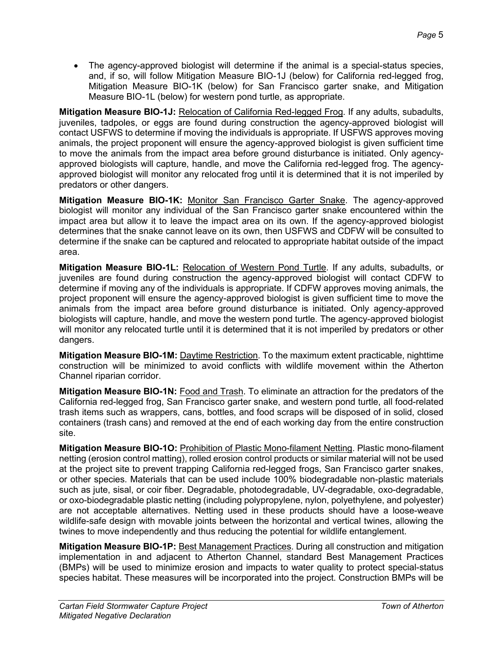• The agency-approved biologist will determine if the animal is a special-status species, and, if so, will follow Mitigation Measure BIO-1J (below) for California red-legged frog, Mitigation Measure BIO-1K (below) for San Francisco garter snake, and Mitigation Measure BIO-1L (below) for western pond turtle, as appropriate.

**Mitigation Measure BIO-1J:** Relocation of California Red-legged Frog. If any adults, subadults, juveniles, tadpoles, or eggs are found during construction the agency-approved biologist will contact USFWS to determine if moving the individuals is appropriate. If USFWS approves moving animals, the project proponent will ensure the agency-approved biologist is given sufficient time to move the animals from the impact area before ground disturbance is initiated. Only agencyapproved biologists will capture, handle, and move the California red-legged frog. The agencyapproved biologist will monitor any relocated frog until it is determined that it is not imperiled by predators or other dangers.

**Mitigation Measure BIO-1K:** Monitor San Francisco Garter Snake. The agency-approved biologist will monitor any individual of the San Francisco garter snake encountered within the impact area but allow it to leave the impact area on its own. If the agency-approved biologist determines that the snake cannot leave on its own, then USFWS and CDFW will be consulted to determine if the snake can be captured and relocated to appropriate habitat outside of the impact area.

**Mitigation Measure BIO-1L:** Relocation of Western Pond Turtle. If any adults, subadults, or juveniles are found during construction the agency-approved biologist will contact CDFW to determine if moving any of the individuals is appropriate. If CDFW approves moving animals, the project proponent will ensure the agency-approved biologist is given sufficient time to move the animals from the impact area before ground disturbance is initiated. Only agency-approved biologists will capture, handle, and move the western pond turtle. The agency-approved biologist will monitor any relocated turtle until it is determined that it is not imperiled by predators or other dangers.

**Mitigation Measure BIO-1M:** Daytime Restriction. To the maximum extent practicable, nighttime construction will be minimized to avoid conflicts with wildlife movement within the Atherton Channel riparian corridor.

**Mitigation Measure BIO-1N:** Food and Trash. To eliminate an attraction for the predators of the California red-legged frog, San Francisco garter snake, and western pond turtle, all food-related trash items such as wrappers, cans, bottles, and food scraps will be disposed of in solid, closed containers (trash cans) and removed at the end of each working day from the entire construction site.

**Mitigation Measure BIO-1O:** Prohibition of Plastic Mono-filament Netting. Plastic mono-filament netting (erosion control matting), rolled erosion control products or similar material will not be used at the project site to prevent trapping California red-legged frogs, San Francisco garter snakes, or other species. Materials that can be used include 100% biodegradable non-plastic materials such as jute, sisal, or coir fiber. Degradable, photodegradable, UV-degradable, oxo-degradable, or oxo-biodegradable plastic netting (including polypropylene, nylon, polyethylene, and polyester) are not acceptable alternatives. Netting used in these products should have a loose-weave wildlife-safe design with movable joints between the horizontal and vertical twines, allowing the twines to move independently and thus reducing the potential for wildlife entanglement.

**Mitigation Measure BIO-1P:** Best Management Practices. During all construction and mitigation implementation in and adjacent to Atherton Channel, standard Best Management Practices (BMPs) will be used to minimize erosion and impacts to water quality to protect special-status species habitat. These measures will be incorporated into the project. Construction BMPs will be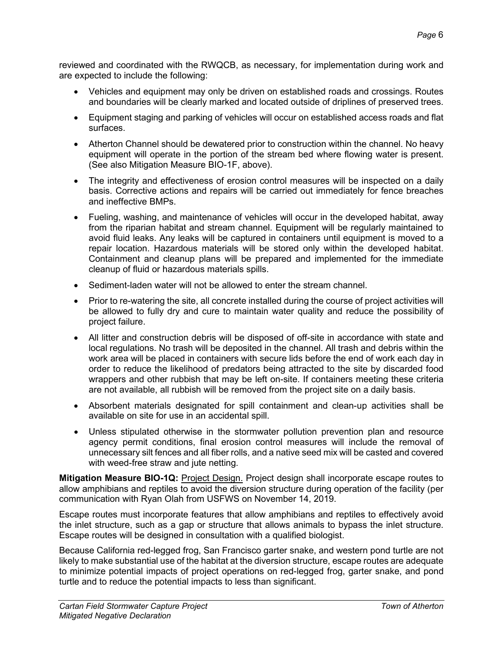reviewed and coordinated with the RWQCB, as necessary, for implementation during work and are expected to include the following:

- Vehicles and equipment may only be driven on established roads and crossings. Routes and boundaries will be clearly marked and located outside of driplines of preserved trees.
- Equipment staging and parking of vehicles will occur on established access roads and flat surfaces.
- Atherton Channel should be dewatered prior to construction within the channel. No heavy equipment will operate in the portion of the stream bed where flowing water is present. (See also Mitigation Measure BIO-1F, above).
- The integrity and effectiveness of erosion control measures will be inspected on a daily basis. Corrective actions and repairs will be carried out immediately for fence breaches and ineffective BMPs.
- Fueling, washing, and maintenance of vehicles will occur in the developed habitat, away from the riparian habitat and stream channel. Equipment will be regularly maintained to avoid fluid leaks. Any leaks will be captured in containers until equipment is moved to a repair location. Hazardous materials will be stored only within the developed habitat. Containment and cleanup plans will be prepared and implemented for the immediate cleanup of fluid or hazardous materials spills.
- Sediment-laden water will not be allowed to enter the stream channel.
- Prior to re-watering the site, all concrete installed during the course of project activities will be allowed to fully dry and cure to maintain water quality and reduce the possibility of project failure.
- All litter and construction debris will be disposed of off-site in accordance with state and local regulations. No trash will be deposited in the channel. All trash and debris within the work area will be placed in containers with secure lids before the end of work each day in order to reduce the likelihood of predators being attracted to the site by discarded food wrappers and other rubbish that may be left on-site. If containers meeting these criteria are not available, all rubbish will be removed from the project site on a daily basis.
- Absorbent materials designated for spill containment and clean-up activities shall be available on site for use in an accidental spill.
- Unless stipulated otherwise in the stormwater pollution prevention plan and resource agency permit conditions, final erosion control measures will include the removal of unnecessary silt fences and all fiber rolls, and a native seed mix will be casted and covered with weed-free straw and jute netting.

**Mitigation Measure BIO-1Q:** Project Design. Project design shall incorporate escape routes to allow amphibians and reptiles to avoid the diversion structure during operation of the facility (per communication with Ryan Olah from USFWS on November 14, 2019.

Escape routes must incorporate features that allow amphibians and reptiles to effectively avoid the inlet structure, such as a gap or structure that allows animals to bypass the inlet structure. Escape routes will be designed in consultation with a qualified biologist.

Because California red-legged frog, San Francisco garter snake, and western pond turtle are not likely to make substantial use of the habitat at the diversion structure, escape routes are adequate to minimize potential impacts of project operations on red-legged frog, garter snake, and pond turtle and to reduce the potential impacts to less than significant.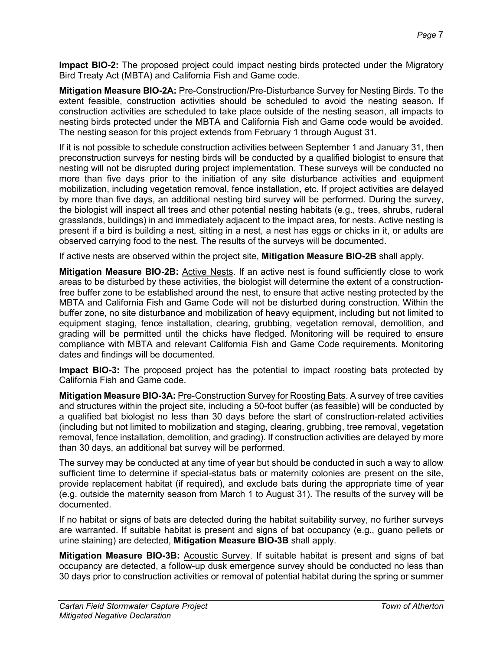**Impact BIO-2:** The proposed project could impact nesting birds protected under the Migratory Bird Treaty Act (MBTA) and California Fish and Game code.

**Mitigation Measure BIO-2A:** Pre-Construction/Pre-Disturbance Survey for Nesting Birds. To the extent feasible, construction activities should be scheduled to avoid the nesting season. If construction activities are scheduled to take place outside of the nesting season, all impacts to nesting birds protected under the MBTA and California Fish and Game code would be avoided. The nesting season for this project extends from February 1 through August 31.

If it is not possible to schedule construction activities between September 1 and January 31, then preconstruction surveys for nesting birds will be conducted by a qualified biologist to ensure that nesting will not be disrupted during project implementation. These surveys will be conducted no more than five days prior to the initiation of any site disturbance activities and equipment mobilization, including vegetation removal, fence installation, etc. If project activities are delayed by more than five days, an additional nesting bird survey will be performed. During the survey, the biologist will inspect all trees and other potential nesting habitats (e.g., trees, shrubs, ruderal grasslands, buildings) in and immediately adjacent to the impact area, for nests. Active nesting is present if a bird is building a nest, sitting in a nest, a nest has eggs or chicks in it, or adults are observed carrying food to the nest. The results of the surveys will be documented.

If active nests are observed within the project site, **Mitigation Measure BIO-2B** shall apply.

**Mitigation Measure BIO-2B:** Active Nests. If an active nest is found sufficiently close to work areas to be disturbed by these activities, the biologist will determine the extent of a constructionfree buffer zone to be established around the nest, to ensure that active nesting protected by the MBTA and California Fish and Game Code will not be disturbed during construction. Within the buffer zone, no site disturbance and mobilization of heavy equipment, including but not limited to equipment staging, fence installation, clearing, grubbing, vegetation removal, demolition, and grading will be permitted until the chicks have fledged. Monitoring will be required to ensure compliance with MBTA and relevant California Fish and Game Code requirements. Monitoring dates and findings will be documented.

**Impact BIO-3:** The proposed project has the potential to impact roosting bats protected by California Fish and Game code.

**Mitigation Measure BIO-3A:** Pre-Construction Survey for Roosting Bats. A survey of tree cavities and structures within the project site, including a 50-foot buffer (as feasible) will be conducted by a qualified bat biologist no less than 30 days before the start of construction-related activities (including but not limited to mobilization and staging, clearing, grubbing, tree removal, vegetation removal, fence installation, demolition, and grading). If construction activities are delayed by more than 30 days, an additional bat survey will be performed.

The survey may be conducted at any time of year but should be conducted in such a way to allow sufficient time to determine if special-status bats or maternity colonies are present on the site, provide replacement habitat (if required), and exclude bats during the appropriate time of year (e.g. outside the maternity season from March 1 to August 31). The results of the survey will be documented.

If no habitat or signs of bats are detected during the habitat suitability survey, no further surveys are warranted. If suitable habitat is present and signs of bat occupancy (e.g., guano pellets or urine staining) are detected, **Mitigation Measure BIO-3B** shall apply.

**Mitigation Measure BIO-3B:** Acoustic Survey. If suitable habitat is present and signs of bat occupancy are detected, a follow-up dusk emergence survey should be conducted no less than 30 days prior to construction activities or removal of potential habitat during the spring or summer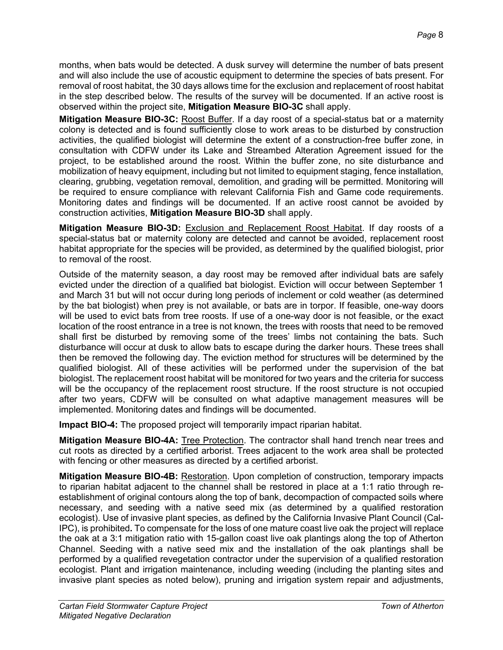months, when bats would be detected. A dusk survey will determine the number of bats present and will also include the use of acoustic equipment to determine the species of bats present. For removal of roost habitat, the 30 days allows time for the exclusion and replacement of roost habitat in the step described below. The results of the survey will be documented. If an active roost is observed within the project site, **Mitigation Measure BIO-3C** shall apply.

**Mitigation Measure BIO-3C:** Roost Buffer. If a day roost of a special-status bat or a maternity colony is detected and is found sufficiently close to work areas to be disturbed by construction activities, the qualified biologist will determine the extent of a construction-free buffer zone, in consultation with CDFW under its Lake and Streambed Alteration Agreement issued for the project, to be established around the roost. Within the buffer zone, no site disturbance and mobilization of heavy equipment, including but not limited to equipment staging, fence installation, clearing, grubbing, vegetation removal, demolition, and grading will be permitted. Monitoring will be required to ensure compliance with relevant California Fish and Game code requirements. Monitoring dates and findings will be documented. If an active roost cannot be avoided by construction activities, **Mitigation Measure BIO-3D** shall apply.

**Mitigation Measure BIO-3D:** Exclusion and Replacement Roost Habitat. If day roosts of a special-status bat or maternity colony are detected and cannot be avoided, replacement roost habitat appropriate for the species will be provided, as determined by the qualified biologist, prior to removal of the roost.

Outside of the maternity season, a day roost may be removed after individual bats are safely evicted under the direction of a qualified bat biologist. Eviction will occur between September 1 and March 31 but will not occur during long periods of inclement or cold weather (as determined by the bat biologist) when prey is not available, or bats are in torpor. If feasible, one-way doors will be used to evict bats from tree roosts. If use of a one-way door is not feasible, or the exact location of the roost entrance in a tree is not known, the trees with roosts that need to be removed shall first be disturbed by removing some of the trees' limbs not containing the bats. Such disturbance will occur at dusk to allow bats to escape during the darker hours. These trees shall then be removed the following day. The eviction method for structures will be determined by the qualified biologist. All of these activities will be performed under the supervision of the bat biologist. The replacement roost habitat will be monitored for two years and the criteria for success will be the occupancy of the replacement roost structure. If the roost structure is not occupied after two years, CDFW will be consulted on what adaptive management measures will be implemented. Monitoring dates and findings will be documented.

**Impact BIO-4:** The proposed project will temporarily impact riparian habitat.

**Mitigation Measure BIO-4A:** Tree Protection. The contractor shall hand trench near trees and cut roots as directed by a certified arborist. Trees adjacent to the work area shall be protected with fencing or other measures as directed by a certified arborist.

**Mitigation Measure BIO-4B:** Restoration. Upon completion of construction, temporary impacts to riparian habitat adjacent to the channel shall be restored in place at a 1:1 ratio through reestablishment of original contours along the top of bank, decompaction of compacted soils where necessary, and seeding with a native seed mix (as determined by a qualified restoration ecologist). Use of invasive plant species, as defined by the California Invasive Plant Council (Cal-IPC), is prohibited**.** To compensate for the loss of one mature coast live oak the project will replace the oak at a 3:1 mitigation ratio with 15-gallon coast live oak plantings along the top of Atherton Channel. Seeding with a native seed mix and the installation of the oak plantings shall be performed by a qualified revegetation contractor under the supervision of a qualified restoration ecologist. Plant and irrigation maintenance, including weeding (including the planting sites and invasive plant species as noted below), pruning and irrigation system repair and adjustments,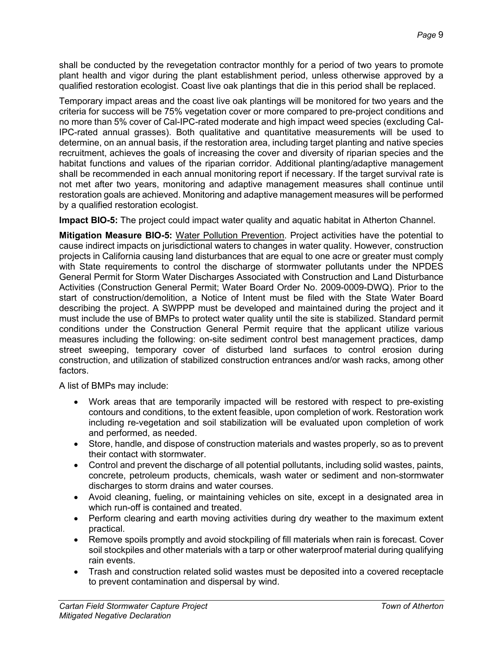shall be conducted by the revegetation contractor monthly for a period of two years to promote plant health and vigor during the plant establishment period, unless otherwise approved by a qualified restoration ecologist. Coast live oak plantings that die in this period shall be replaced.

Temporary impact areas and the coast live oak plantings will be monitored for two years and the criteria for success will be 75% vegetation cover or more compared to pre-project conditions and no more than 5% cover of Cal-IPC-rated moderate and high impact weed species (excluding Cal-IPC-rated annual grasses). Both qualitative and quantitative measurements will be used to determine, on an annual basis, if the restoration area, including target planting and native species recruitment, achieves the goals of increasing the cover and diversity of riparian species and the habitat functions and values of the riparian corridor. Additional planting/adaptive management shall be recommended in each annual monitoring report if necessary. If the target survival rate is not met after two years, monitoring and adaptive management measures shall continue until restoration goals are achieved. Monitoring and adaptive management measures will be performed by a qualified restoration ecologist.

**Impact BIO-5:** The project could impact water quality and aquatic habitat in Atherton Channel.

**Mitigation Measure BIO-5:** Water Pollution Prevention. Project activities have the potential to cause indirect impacts on jurisdictional waters to changes in water quality. However, construction projects in California causing land disturbances that are equal to one acre or greater must comply with State requirements to control the discharge of stormwater pollutants under the NPDES General Permit for Storm Water Discharges Associated with Construction and Land Disturbance Activities (Construction General Permit; Water Board Order No. 2009-0009-DWQ). Prior to the start of construction/demolition, a Notice of Intent must be filed with the State Water Board describing the project. A SWPPP must be developed and maintained during the project and it must include the use of BMPs to protect water quality until the site is stabilized. Standard permit conditions under the Construction General Permit require that the applicant utilize various measures including the following: on-site sediment control best management practices, damp street sweeping, temporary cover of disturbed land surfaces to control erosion during construction, and utilization of stabilized construction entrances and/or wash racks, among other factors.

A list of BMPs may include:

- Work areas that are temporarily impacted will be restored with respect to pre-existing contours and conditions, to the extent feasible, upon completion of work. Restoration work including re-vegetation and soil stabilization will be evaluated upon completion of work and performed, as needed.
- Store, handle, and dispose of construction materials and wastes properly, so as to prevent their contact with stormwater.
- Control and prevent the discharge of all potential pollutants, including solid wastes, paints, concrete, petroleum products, chemicals, wash water or sediment and non-stormwater discharges to storm drains and water courses.
- Avoid cleaning, fueling, or maintaining vehicles on site, except in a designated area in which run-off is contained and treated.
- Perform clearing and earth moving activities during dry weather to the maximum extent practical.
- Remove spoils promptly and avoid stockpiling of fill materials when rain is forecast. Cover soil stockpiles and other materials with a tarp or other waterproof material during qualifying rain events.
- Trash and construction related solid wastes must be deposited into a covered receptacle to prevent contamination and dispersal by wind.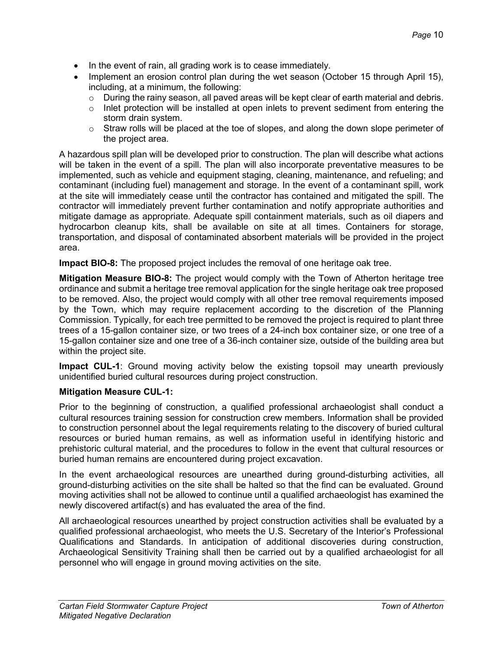- In the event of rain, all grading work is to cease immediately.
- Implement an erosion control plan during the wet season (October 15 through April 15), including, at a minimum, the following:
	- $\circ$  During the rainy season, all paved areas will be kept clear of earth material and debris.
	- $\circ$  Inlet protection will be installed at open inlets to prevent sediment from entering the storm drain system.
	- $\circ$  Straw rolls will be placed at the toe of slopes, and along the down slope perimeter of the project area.

A hazardous spill plan will be developed prior to construction. The plan will describe what actions will be taken in the event of a spill. The plan will also incorporate preventative measures to be implemented, such as vehicle and equipment staging, cleaning, maintenance, and refueling; and contaminant (including fuel) management and storage. In the event of a contaminant spill, work at the site will immediately cease until the contractor has contained and mitigated the spill. The contractor will immediately prevent further contamination and notify appropriate authorities and mitigate damage as appropriate. Adequate spill containment materials, such as oil diapers and hydrocarbon cleanup kits, shall be available on site at all times. Containers for storage, transportation, and disposal of contaminated absorbent materials will be provided in the project area.

**Impact BIO-8:** The proposed project includes the removal of one heritage oak tree.

**Mitigation Measure BIO-8:** The project would comply with the Town of Atherton heritage tree ordinance and submit a heritage tree removal application for the single heritage oak tree proposed to be removed. Also, the project would comply with all other tree removal requirements imposed by the Town, which may require replacement according to the discretion of the Planning Commission. Typically, for each tree permitted to be removed the project is required to plant three trees of a 15-gallon container size, or two trees of a 24-inch box container size, or one tree of a 15-gallon container size and one tree of a 36-inch container size, outside of the building area but within the project site.

**Impact CUL-1**: Ground moving activity below the existing topsoil may unearth previously unidentified buried cultural resources during project construction.

#### **Mitigation Measure CUL-1:**

Prior to the beginning of construction, a qualified professional archaeologist shall conduct a cultural resources training session for construction crew members. Information shall be provided to construction personnel about the legal requirements relating to the discovery of buried cultural resources or buried human remains, as well as information useful in identifying historic and prehistoric cultural material, and the procedures to follow in the event that cultural resources or buried human remains are encountered during project excavation.

In the event archaeological resources are unearthed during ground-disturbing activities, all ground-disturbing activities on the site shall be halted so that the find can be evaluated. Ground moving activities shall not be allowed to continue until a qualified archaeologist has examined the newly discovered artifact(s) and has evaluated the area of the find.

All archaeological resources unearthed by project construction activities shall be evaluated by a qualified professional archaeologist, who meets the U.S. Secretary of the Interior's Professional Qualifications and Standards. In anticipation of additional discoveries during construction, Archaeological Sensitivity Training shall then be carried out by a qualified archaeologist for all personnel who will engage in ground moving activities on the site.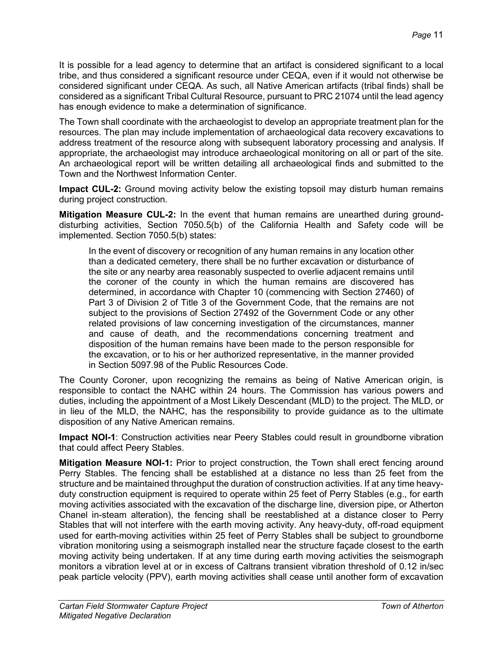It is possible for a lead agency to determine that an artifact is considered significant to a local tribe, and thus considered a significant resource under CEQA, even if it would not otherwise be considered significant under CEQA. As such, all Native American artifacts (tribal finds) shall be considered as a significant Tribal Cultural Resource, pursuant to PRC 21074 until the lead agency has enough evidence to make a determination of significance.

The Town shall coordinate with the archaeologist to develop an appropriate treatment plan for the resources. The plan may include implementation of archaeological data recovery excavations to address treatment of the resource along with subsequent laboratory processing and analysis. If appropriate, the archaeologist may introduce archaeological monitoring on all or part of the site. An archaeological report will be written detailing all archaeological finds and submitted to the Town and the Northwest Information Center.

**Impact CUL-2:** Ground moving activity below the existing topsoil may disturb human remains during project construction.

**Mitigation Measure CUL-2:** In the event that human remains are unearthed during grounddisturbing activities, Section 7050.5(b) of the California Health and Safety code will be implemented. Section 7050.5(b) states:

In the event of discovery or recognition of any human remains in any location other than a dedicated cemetery, there shall be no further excavation or disturbance of the site or any nearby area reasonably suspected to overlie adjacent remains until the coroner of the county in which the human remains are discovered has determined, in accordance with Chapter 10 (commencing with Section 27460) of Part 3 of Division 2 of Title 3 of the Government Code, that the remains are not subject to the provisions of Section 27492 of the Government Code or any other related provisions of law concerning investigation of the circumstances, manner and cause of death, and the recommendations concerning treatment and disposition of the human remains have been made to the person responsible for the excavation, or to his or her authorized representative, in the manner provided in Section 5097.98 of the Public Resources Code.

The County Coroner, upon recognizing the remains as being of Native American origin, is responsible to contact the NAHC within 24 hours. The Commission has various powers and duties, including the appointment of a Most Likely Descendant (MLD) to the project. The MLD, or in lieu of the MLD, the NAHC, has the responsibility to provide guidance as to the ultimate disposition of any Native American remains.

**Impact NOI-1**: Construction activities near Peery Stables could result in groundborne vibration that could affect Peery Stables.

**Mitigation Measure NOI-1:** Prior to project construction, the Town shall erect fencing around Perry Stables. The fencing shall be established at a distance no less than 25 feet from the structure and be maintained throughput the duration of construction activities. If at any time heavyduty construction equipment is required to operate within 25 feet of Perry Stables (e.g., for earth moving activities associated with the excavation of the discharge line, diversion pipe, or Atherton Chanel in-steam alteration), the fencing shall be reestablished at a distance closer to Perry Stables that will not interfere with the earth moving activity. Any heavy-duty, off-road equipment used for earth-moving activities within 25 feet of Perry Stables shall be subject to groundborne vibration monitoring using a seismograph installed near the structure façade closest to the earth moving activity being undertaken. If at any time during earth moving activities the seismograph monitors a vibration level at or in excess of Caltrans transient vibration threshold of 0.12 in/sec peak particle velocity (PPV), earth moving activities shall cease until another form of excavation